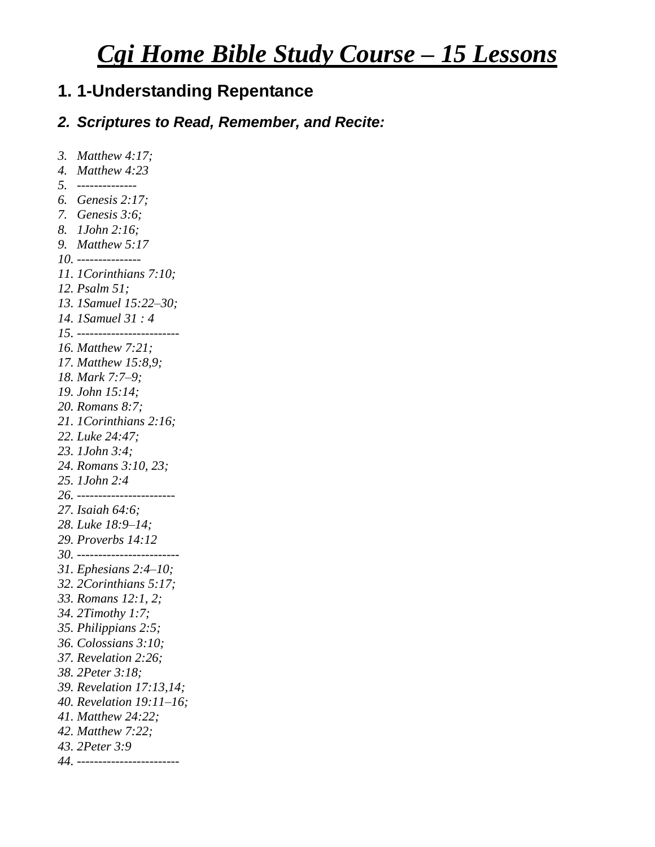# *Cgi Home Bible Study Course – 15 Lessons*

## **1. 1-Understanding Repentance**

#### *2. Scriptures to Read, Remember, and Recite:*

```
3. Matthew 4:17; 
4. Matthew 4:23
5. --------------
6. Genesis 2:17; 
7. Genesis 3:6; 
8. 1John 2:16; 
9. Matthew 5:17
10. ---------------
11. 1Corinthians 7:10; 
12. Psalm 51;
13. 1Samuel 15:22–30; 
14. 1Samuel 31 : 4
15. ------------------------
16. Matthew 7:21; 
17. Matthew 15:8,9; 
18. Mark 7:7–9; 
19. John 15:14;
20. Romans 8:7; 
21. 1Corinthians 2:16;
22. Luke 24:47; 
23. 1John 3:4; 
24. Romans 3:10, 23; 
25. 1John 2:4
26. -----------------------
27. Isaiah 64:6; 
28. Luke 18:9–14;
29. Proverbs 14:12
30. ------------------------
31. Ephesians 2:4–10;
32. 2Corinthians 5:17; 
33. Romans 12:1, 2;
34. 2Timothy 1:7; 
35. Philippians 2:5;
36. Colossians 3:10; 
37. Revelation 2:26;
38. 2Peter 3:18; 
39. Revelation 17:13,14;
40. Revelation 19:11–16; 
41. Matthew 24:22;
42. Matthew 7:22; 
43. 2Peter 3:9
44. ------------------------
```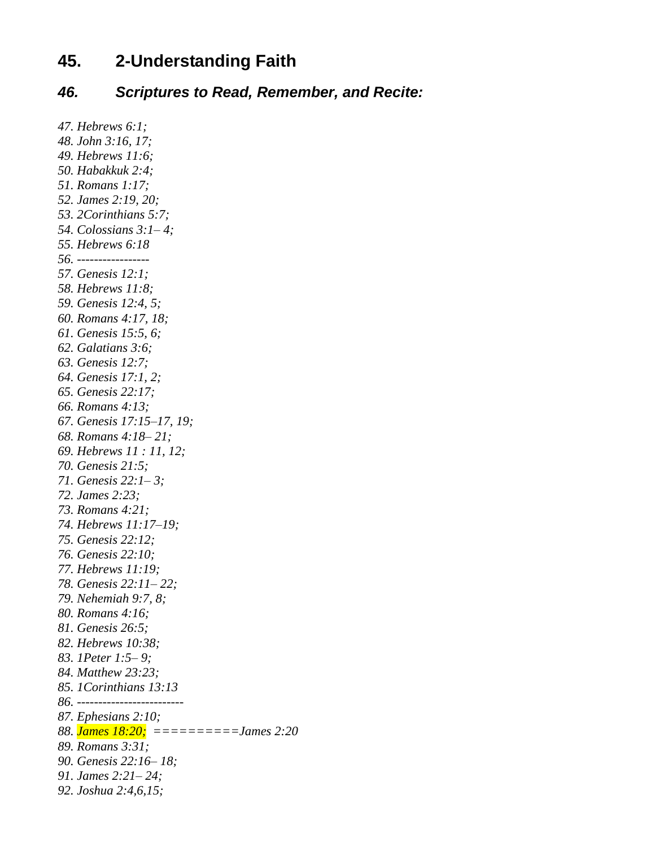## **45. 2-Understanding Faith**

#### *46. Scriptures to Read, Remember, and Recite:*

*47. Hebrews 6:1; 48. John 3:16, 17; 49. Hebrews 11:6; 50. Habakkuk 2:4; 51. Romans 1:17; 52. James 2:19, 20; 53. 2Corinthians 5:7; 54. Colossians 3:1– 4; 55. Hebrews 6:18 56. ----------------- 57. Genesis 12:1; 58. Hebrews 11:8; 59. Genesis 12:4, 5; 60. Romans 4:17, 18; 61. Genesis 15:5, 6; 62. Galatians 3:6; 63. Genesis 12:7; 64. Genesis 17:1, 2; 65. Genesis 22:17; 66. Romans 4:13; 67. Genesis 17:15–17, 19; 68. Romans 4:18– 21; 69. Hebrews 11 : 11, 12; 70. Genesis 21:5; 71. Genesis 22:1– 3; 72. James 2:23; 73. Romans 4:21; 74. Hebrews 11:17–19; 75. Genesis 22:12; 76. Genesis 22:10; 77. Hebrews 11:19; 78. Genesis 22:11– 22; 79. Nehemiah 9:7, 8; 80. Romans 4:16; 81. Genesis 26:5; 82. Hebrews 10:38; 83. 1Peter 1:5– 9; 84. Matthew 23:23; 85. 1Corinthians 13:13 86. ------------------------- 87. Ephesians 2:10; 88. James 18:20; ==========James 2:20 89. Romans 3:31; 90. Genesis 22:16– 18; 91. James 2:21– 24; 92. Joshua 2:4,6,15;*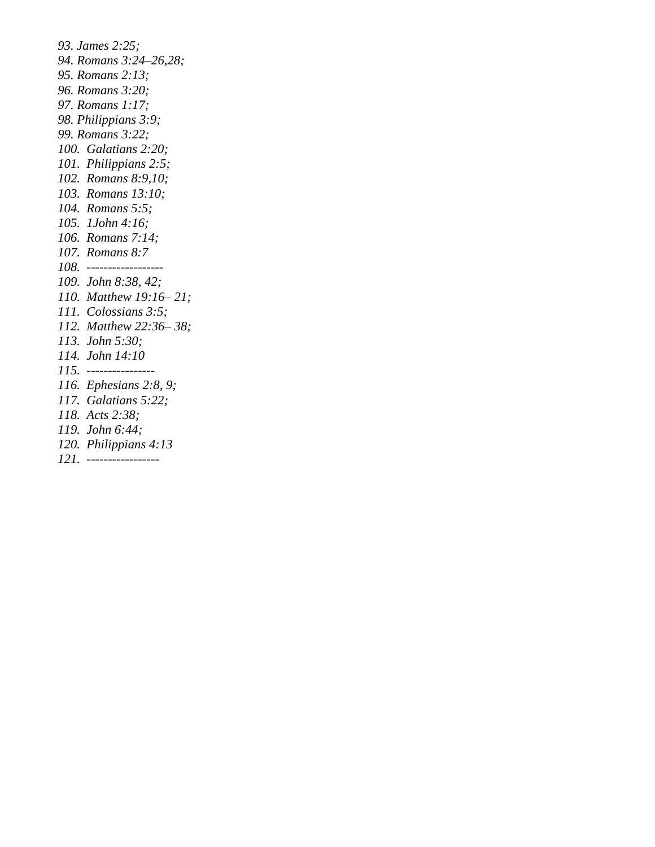*93. James 2:25; 94. Romans 3:24–26,28; 95. Romans 2:13; 96. Romans 3:20; 97. Romans 1:17; 98. Philippians 3:9; 99. Romans 3:22; 100. Galatians 2:20; 101. Philippians 2:5; 102. Romans 8:9,10; 103. Romans 13:10; 104. Romans 5:5; 105. 1John 4:16; 106. Romans 7:14; 107. Romans 8:7 108. ------------------ 109. John 8:38, 42; 110. Matthew 19:16– 21; 111. Colossians 3:5; 112. Matthew 22:36– 38; 113. John 5:30; 114. John 14:10 115. ---------------- 116. Ephesians 2:8, 9; 117. Galatians 5:22; 118. Acts 2:38; 119. John 6:44; 120. Philippians 4:13 121. -----------------*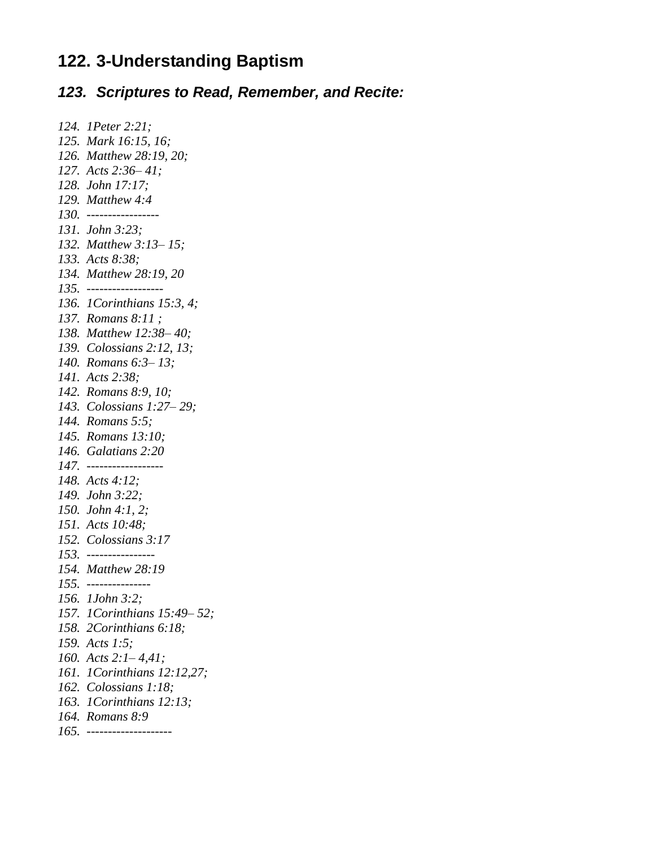## **122. 3-Understanding Baptism**

#### *123. Scriptures to Read, Remember, and Recite:*

```
124. 1Peter 2:21; 
125. Mark 16:15, 16; 
126. Matthew 28:19, 20; 
127. Acts 2:36– 41; 
128. John 17:17;
129. Matthew 4:4
130. -----------------
131. John 3:23; 
132. Matthew 3:13– 15; 
133. Acts 8:38; 
134. Matthew 28:19, 20
135. ------------------
136. 1Corinthians 15:3, 4; 
137. Romans 8:11 ;
138. Matthew 12:38– 40; 
139. Colossians 2:12, 13; 
140. Romans 6:3– 13; 
141. Acts 2:38;
142. Romans 8:9, 10; 
143. Colossians 1:27– 29;
144. Romans 5:5; 
145. Romans 13:10; 
146. Galatians 2:20
147. ------------------
148. Acts 4:12; 
149. John 3:22; 
150. John 4:1, 2;
151. Acts 10:48; 
152. Colossians 3:17
153. ----------------
154. Matthew 28:19
155. ---------------
156. 1John 3:2; 
157. 1Corinthians 15:49– 52; 
158. 2Corinthians 6:18; 
159. Acts 1:5; 
160. Acts 2:1– 4,41;
161. 1Corinthians 12:12,27; 
162. Colossians 1:18; 
163. 1Corinthians 12:13; 
164. Romans 8:9
165. --------------------
```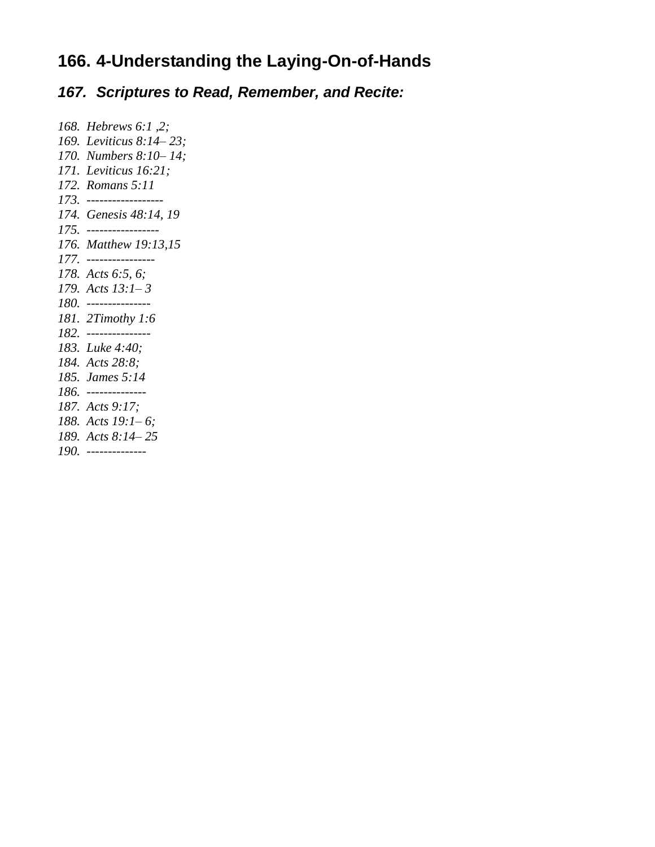## **166. 4-Understanding the Laying-On-of-Hands**

*167. Scriptures to Read, Remember, and Recite:*

*168. Hebrews 6:1 ,2; 169. Leviticus 8:14– 23; 170. Numbers 8:10– 14; 171. Leviticus 16:21; 172. Romans 5:11 173. ------------------ 174. Genesis 48:14, 19 175. ----------------- 176. Matthew 19:13,15 177. ---------------- 178. Acts 6:5, 6; 179. Acts 13:1– 3 180. --------------- 181. 2Timothy 1:6 182. --------------- 183. Luke 4:40; 184. Acts 28:8; 185. James 5:14 186. -------------- 187. Acts 9:17; 188. Acts 19:1– 6; 189. Acts 8:14– 25 190. --------------*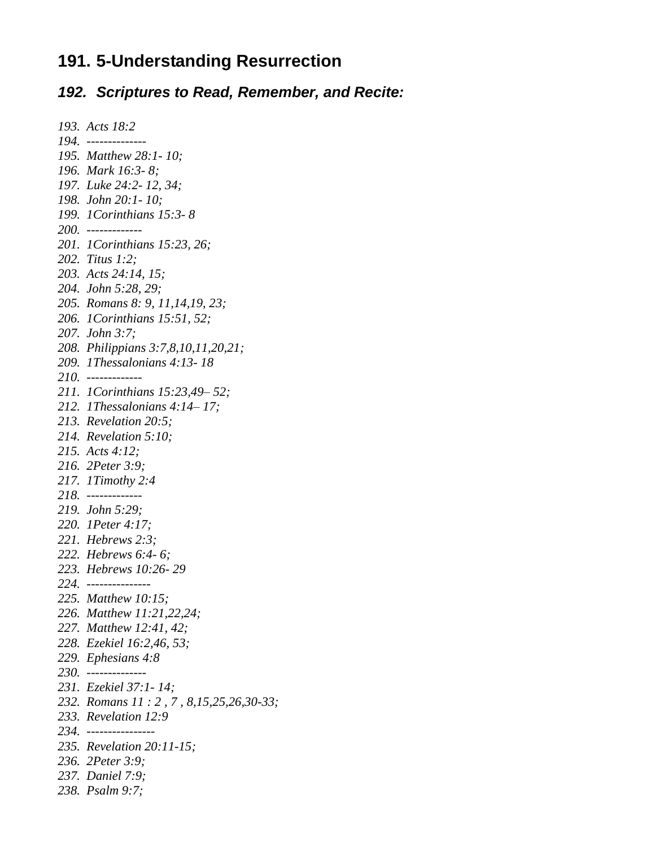#### **191. 5-Understanding Resurrection**

#### *192. Scriptures to Read, Remember, and Recite:*

```
193. Acts 18:2
194. --------------
195. Matthew 28:1- 10; 
196. Mark 16:3- 8;
197. Luke 24:2- 12, 34; 
198. John 20:1- 10; 
199. 1Corinthians 15:3- 8
200. -------------
201. 1Corinthians 15:23, 26; 
202. Titus 1:2; 
203. Acts 24:14, 15; 
204. John 5:28, 29; 
205. Romans 8: 9, 11,14,19, 23; 
206. 1Corinthians 15:51, 52;
207. John 3:7;
208. Philippians 3:7,8,10,11,20,21; 
209. 1Thessalonians 4:13- 18
210. -------------
211. 1Corinthians 15:23,49– 52; 
212. 1Thessalonians 4:14– 17; 
213. Revelation 20:5;
214. Revelation 5:10; 
215. Acts 4:12; 
216. 2Peter 3:9; 
217. 1Timothy 2:4
218. -------------
219. John 5:29; 
220. 1Peter 4:17;
221. Hebrews 2:3;
222. Hebrews 6:4- 6; 
223. Hebrews 10:26- 29
224. ---------------
225. Matthew 10:15; 
226. Matthew 11:21,22,24; 
227. Matthew 12:41, 42;
228. Ezekiel 16:2,46, 53; 
229. Ephesians 4:8
230. --------------
231. Ezekiel 37:1- 14; 
232. Romans 11 : 2 , 7 , 8,15,25,26,30-33; 
233. Revelation 12:9
234. ----------------
235. Revelation 20:11-15; 
236. 2Peter 3:9; 
237. Daniel 7:9; 
238. Psalm 9:7;
```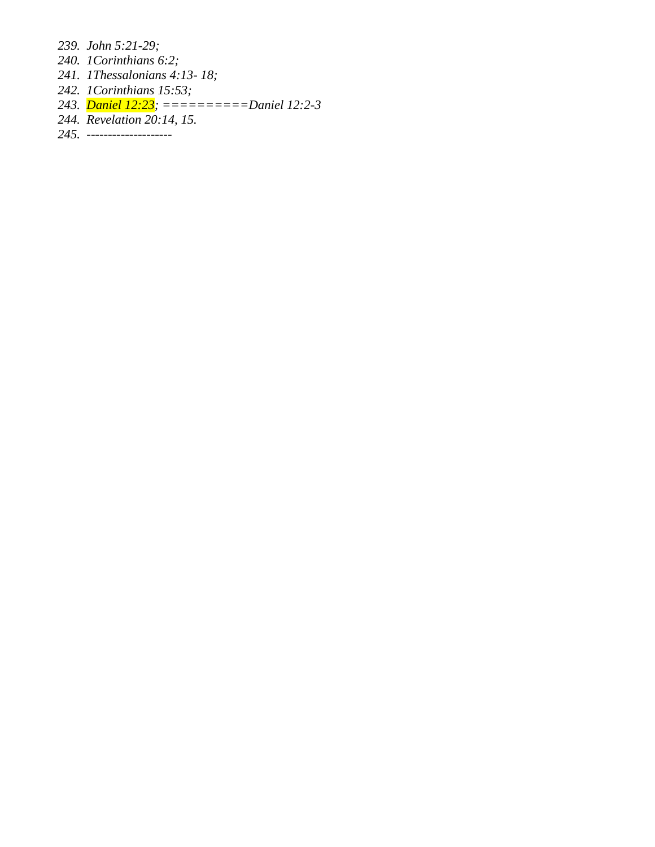*239. John 5:21-29;* 

- *240. 1Corinthians 6:2;*
- *241. 1Thessalonians 4:13- 18;*
- *242. 1Corinthians 15:53;*
- *243. Daniel 12:23; ==========Daniel 12:2-3*
- *244. Revelation 20:14, 15.*
- *245. --------------------*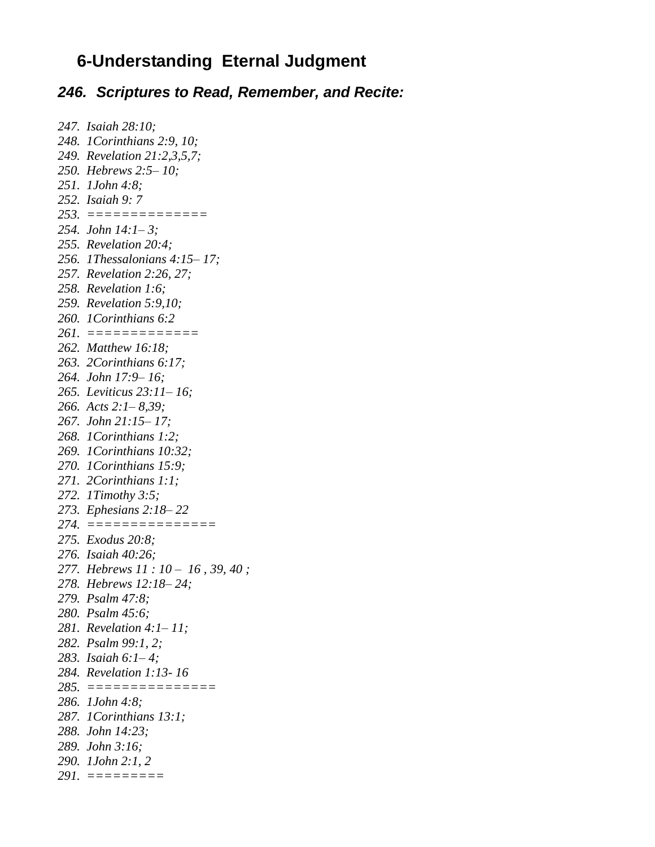### **6-Understanding Eternal Judgment**

#### *246. Scriptures to Read, Remember, and Recite:*

*247. Isaiah 28:10; 248. 1Corinthians 2:9, 10; 249. Revelation 21:2,3,5,7; 250. Hebrews 2:5– 10; 251. 1John 4:8; 252. Isaiah 9: 7 253. ============== 254. John 14:1– 3; 255. Revelation 20:4; 256. 1Thessalonians 4:15– 17; 257. Revelation 2:26, 27; 258. Revelation 1:6; 259. Revelation 5:9,10; 260. 1Corinthians 6:2 261. ============= 262. Matthew 16:18; 263. 2Corinthians 6:17; 264. John 17:9– 16; 265. Leviticus 23:11– 16; 266. Acts 2:1– 8,39; 267. John 21:15– 17; 268. 1Corinthians 1:2; 269. 1Corinthians 10:32; 270. 1Corinthians 15:9; 271. 2Corinthians 1:1; 272. 1Timothy 3:5; 273. Ephesians 2:18– 22 274. =============== 275. Exodus 20:8; 276. Isaiah 40:26; 277. Hebrews 11 : 10 – 16 , 39, 40 ; 278. Hebrews 12:18– 24; 279. Psalm 47:8; 280. Psalm 45:6; 281. Revelation 4:1– 11; 282. Psalm 99:1, 2; 283. Isaiah 6:1– 4; 284. Revelation 1:13- 16 285. =============== 286. 1John 4:8; 287. 1Corinthians 13:1; 288. John 14:23; 289. John 3:16; 290. 1John 2:1, 2 291. =========*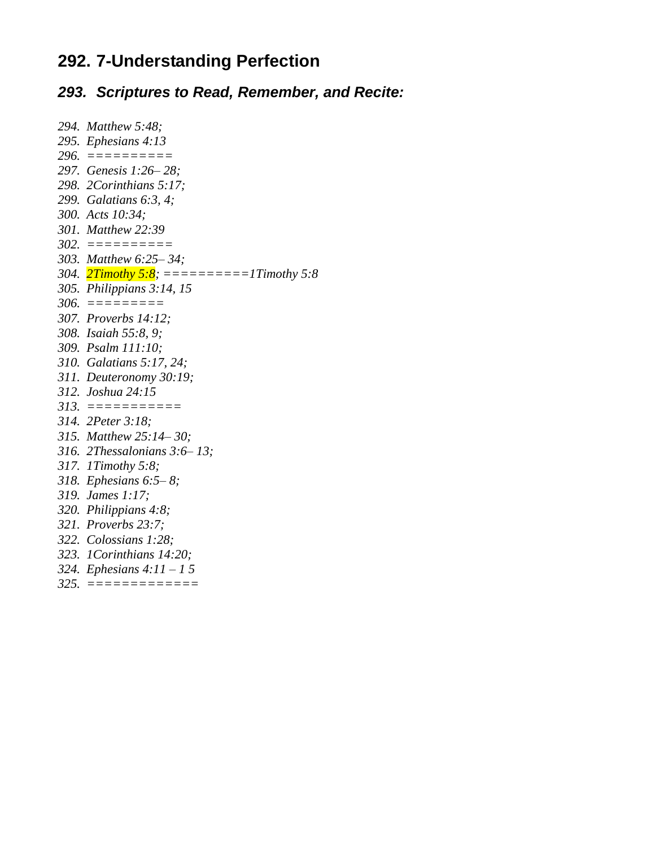# **292. 7-Understanding Perfection**

# *293. Scriptures to Read, Remember, and Recite:*

| 294. Matthew 5:48;                         |
|--------------------------------------------|
| 295. Ephesians 4:13                        |
| 296. $=========$                           |
| 297. Genesis 1:26-28;                      |
| 298. 2Corinthians 5:17;                    |
| 299. Galatians 6:3, 4;                     |
| 300. Acts 10:34;                           |
| 301. Matthew 22:39                         |
|                                            |
| 303. Matthew 6:25-34;                      |
| 304. 2Timothy 5:8; ===========1Timothy 5:8 |
| 305. Philippians 3:14, 15                  |
|                                            |
| 307. Proverbs 14:12;                       |
| 308. Isaiah 55:8, 9;                       |
| 309. Psalm 111:10;                         |
| 310. Galatians 5:17, 24;                   |
| 311. Deuteronomy 30:19;                    |
| 312. Joshua 24:15                          |
| $313. \t==========$                        |
| 314. 2Peter 3:18;                          |
| 315. Matthew 25:14-30;                     |
| 316. 2Thessalonians $3:6-13$ ;             |
| 317. ITimothy 5:8;                         |
| 318. Ephesians $6:5-8$ ;                   |
| 319. James 1:17;                           |
| 320. Philippians 4:8;                      |
| 321. Proverbs 23:7;                        |
| 322. Colossians 1:28;                      |
| 323. 1 Corinthians 14:20;                  |
| 324. Ephesians $4:11 - 15$                 |
| $325. = = = = = = = = = = = =$             |
|                                            |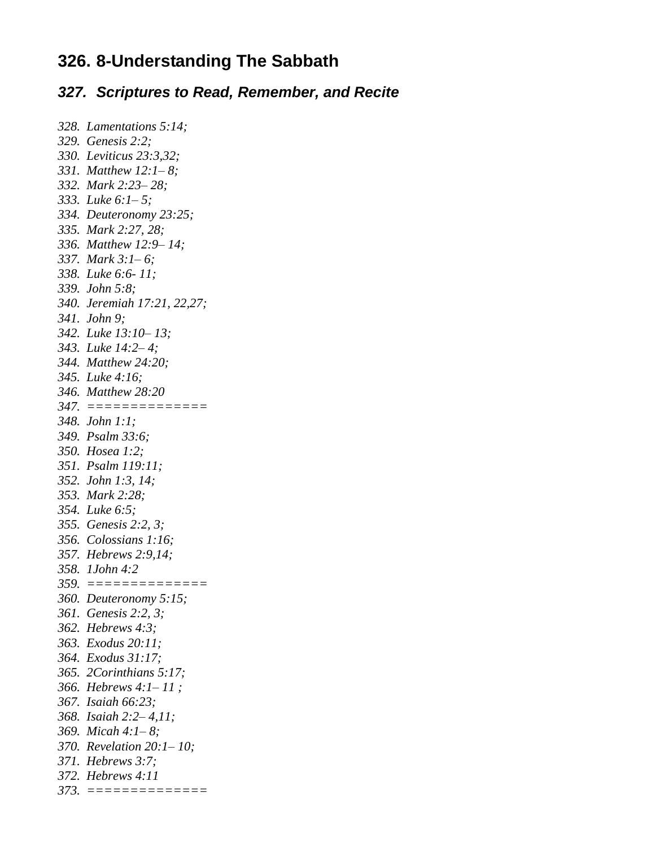### **326. 8-Understanding The Sabbath**

#### *327. Scriptures to Read, Remember, and Recite*

```
328. Lamentations 5:14; 
329. Genesis 2:2;
330. Leviticus 23:3,32; 
331. Matthew 12:1– 8;
332. Mark 2:23– 28;
333. Luke 6:1– 5;
334. Deuteronomy 23:25; 
335. Mark 2:27, 28;
336. Matthew 12:9– 14; 
337. Mark 3:1– 6; 
338. Luke 6:6- 11; 
339. John 5:8; 
340. Jeremiah 17:21, 22,27;
341. John 9;
342. Luke 13:10– 13;
343. Luke 14:2– 4; 
344. Matthew 24:20; 
345. Luke 4:16;
346. Matthew 28:20
347. ==============
348. John 1:1; 
349. Psalm 33:6; 
350. Hosea 1:2;
351. Psalm 119:11; 
352. John 1:3, 14; 
353. Mark 2:28; 
354. Luke 6:5; 
355. Genesis 2:2, 3;
356. Colossians 1:16; 
357. Hebrews 2:9,14; 
358. 1John 4:2
359. ==============
360. Deuteronomy 5:15; 
361. Genesis 2:2, 3;
362. Hebrews 4:3; 
363. Exodus 20:11; 
364. Exodus 31:17; 
365. 2Corinthians 5:17; 
366. Hebrews 4:1– 11 ;
367. Isaiah 66:23; 
368. Isaiah 2:2– 4,11; 
369. Micah 4:1– 8;
370. Revelation 20:1– 10; 
371. Hebrews 3:7;
372. Hebrews 4:11
373. ==============
```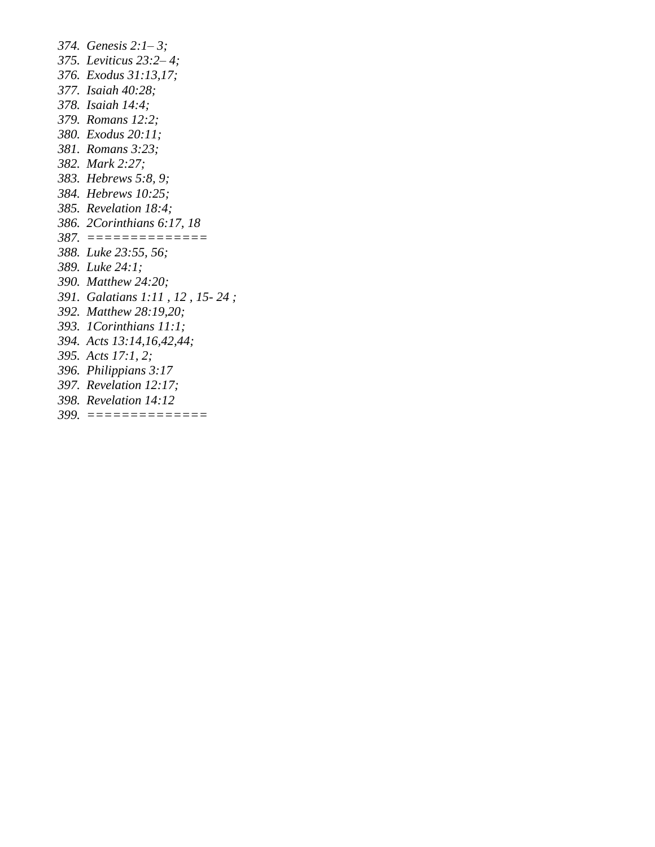*374. Genesis 2:1– 3; 375. Leviticus 23:2– 4; 376. Exodus 31:13,17; 377. Isaiah 40:28; 378. Isaiah 14:4; 379. Romans 12:2; 380. Exodus 20:11; 381. Romans 3:23; 382. Mark 2:27; 383. Hebrews 5:8, 9; 384. Hebrews 10:25; 385. Revelation 18:4; 386. 2Corinthians 6:17, 18 387. ============== 388. Luke 23:55, 56; 389. Luke 24:1; 390. Matthew 24:20; 391. Galatians 1:11 , 12 , 15- 24 ; 392. Matthew 28:19,20; 393. 1Corinthians 11:1; 394. Acts 13:14,16,42,44; 395. Acts 17:1, 2; 396. Philippians 3:17 397. Revelation 12:17; 398. Revelation 14:12 399. ==============*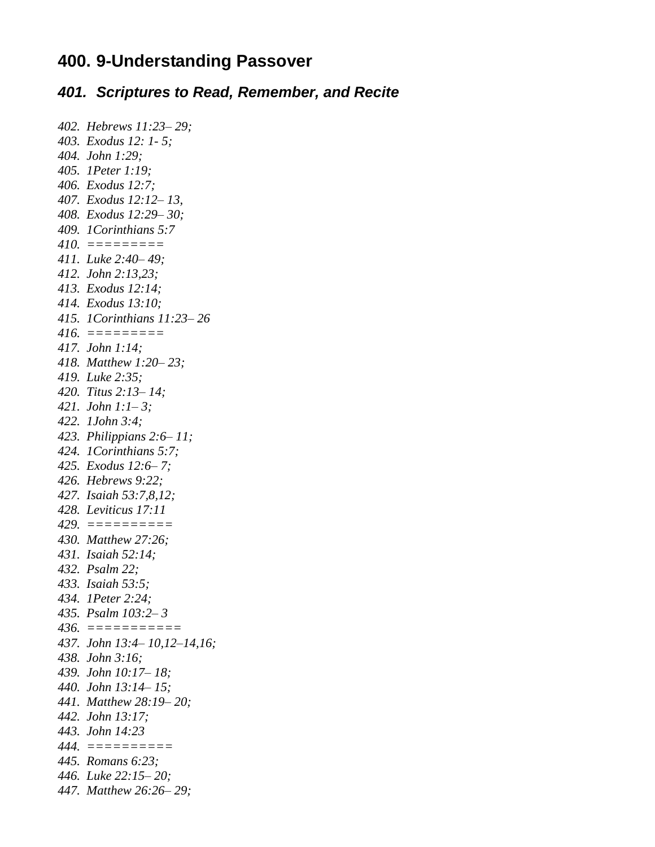#### **400. 9-Understanding Passover**

#### *401. Scriptures to Read, Remember, and Recite*

```
402. Hebrews 11:23– 29; 
403. Exodus 12: 1- 5;
404. John 1:29; 
405. 1Peter 1:19; 
406. Exodus 12:7;
407. Exodus 12:12– 13,
408. Exodus 12:29– 30; 
409. 1Corinthians 5:7
410. =========
411. Luke 2:40– 49; 
412. John 2:13,23; 
413. Exodus 12:14; 
414. Exodus 13:10; 
415. 1Corinthians 11:23– 26
416. =========
417. John 1:14; 
418. Matthew 1:20– 23; 
419. Luke 2:35; 
420. Titus 2:13– 14; 
421. John 1:1– 3; 
422. 1John 3:4; 
423. Philippians 2:6– 11; 
424. 1Corinthians 5:7; 
425. Exodus 12:6– 7;
426. Hebrews 9:22; 
427. Isaiah 53:7,8,12;
428. Leviticus 17:11
429. ==========
430. Matthew 27:26;
431. Isaiah 52:14; 
432. Psalm 22; 
433. Isaiah 53:5; 
434. 1Peter 2:24; 
435. Psalm 103:2– 3
436. ===========
437. John 13:4– 10,12–14,16; 
438. John 3:16;
439. John 10:17– 18; 
440. John 13:14– 15; 
441. Matthew 28:19– 20; 
442. John 13:17; 
443. John 14:23
444. ==========
445. Romans 6:23; 
446. Luke 22:15– 20;
447. Matthew 26:26– 29;
```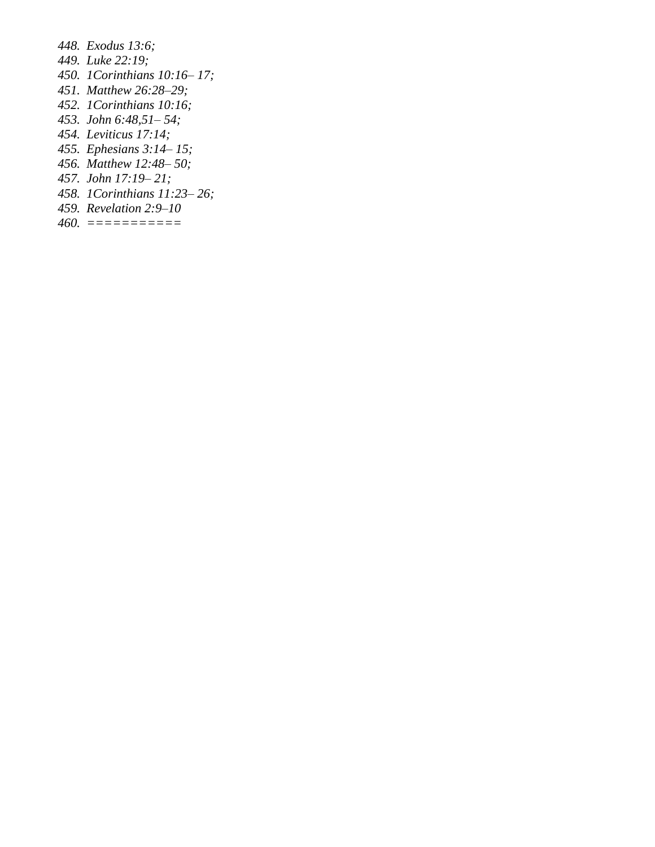*448. Exodus 13:6; 449. Luke 22:19; 450. 1Corinthians 10:16– 17; 451. Matthew 26:28–29; 452. 1Corinthians 10:16; 453. John 6:48,51– 54; 454. Leviticus 17:14; 455. Ephesians 3:14– 15; 456. Matthew 12:48– 50; 457. John 17:19– 21; 458. 1Corinthians 11:23– 26; 459. Revelation 2:9–10 460. ===========*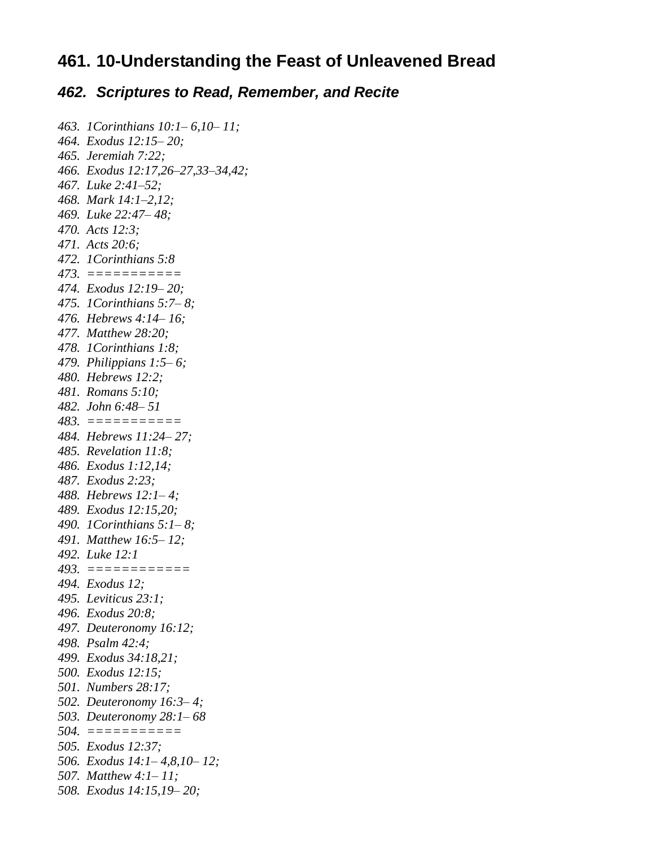## **461. 10-Understanding the Feast of Unleavened Bread**

#### *462. Scriptures to Read, Remember, and Recite*

```
463. 1Corinthians 10:1– 6,10– 11;
464. Exodus 12:15– 20; 
465. Jeremiah 7:22;
466. Exodus 12:17,26–27,33–34,42; 
467. Luke 2:41–52; 
468. Mark 14:1–2,12; 
469. Luke 22:47– 48; 
470. Acts 12:3; 
471. Acts 20:6; 
472. 1Corinthians 5:8
473. ===========
474. Exodus 12:19– 20; 
475. 1Corinthians 5:7– 8; 
476. Hebrews 4:14– 16; 
477. Matthew 28:20; 
478. 1Corinthians 1:8; 
479. Philippians 1:5– 6; 
480. Hebrews 12:2;
481. Romans 5:10; 
482. John 6:48– 51
483. ===========
484. Hebrews 11:24– 27; 
485. Revelation 11:8; 
486. Exodus 1:12,14; 
487. Exodus 2:23; 
488. Hebrews 12:1– 4; 
489. Exodus 12:15,20; 
490. 1Corinthians 5:1– 8; 
491. Matthew 16:5– 12; 
492. Luke 12:1
493. ============
494. Exodus 12; 
495. Leviticus 23:1; 
496. Exodus 20:8; 
497. Deuteronomy 16:12; 
498. Psalm 42:4; 
499. Exodus 34:18,21; 
500. Exodus 12:15;
501. Numbers 28:17; 
502. Deuteronomy 16:3– 4; 
503. Deuteronomy 28:1– 68
504. ===========
505. Exodus 12:37; 
506. Exodus 14:1– 4,8,10– 12;
507. Matthew 4:1– 11; 
508. Exodus 14:15,19– 20;
```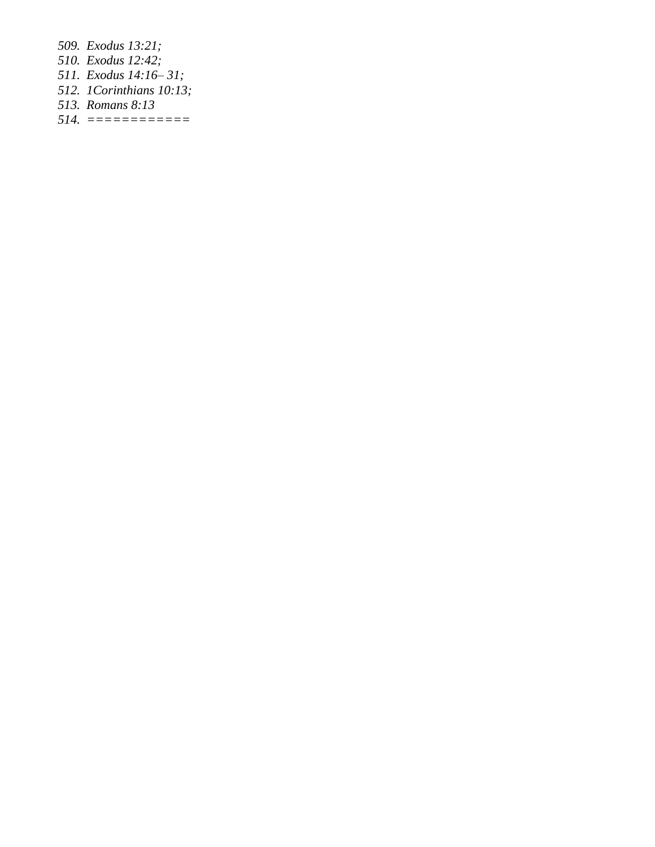*509. Exodus 13:21; 510. Exodus 12:42; 511. Exodus 14:16– 31; 512. 1Corinthians 10:13; 513. Romans 8:13 514. ============*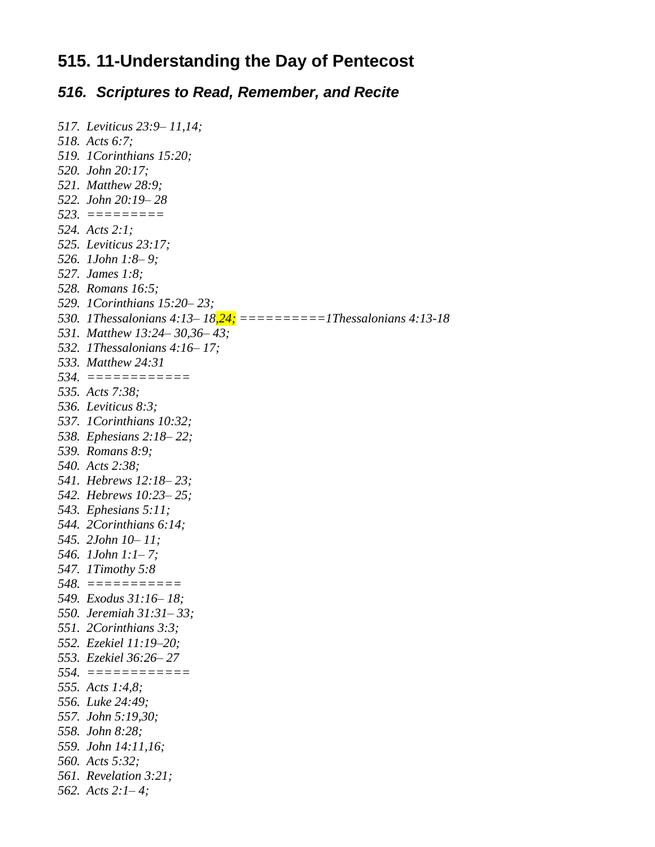## **515. 11-Understanding the Day of Pentecost**

#### *516. Scriptures to Read, Remember, and Recite*

```
517. Leviticus 23:9– 11,14; 
518. Acts 6:7; 
519. 1Corinthians 15:20; 
520. John 20:17;
521. Matthew 28:9; 
522. John 20:19– 28
523. =========
524. Acts 2:1; 
525. Leviticus 23:17; 
526. 1John 1:8– 9; 
527. James 1:8; 
528. Romans 16:5; 
529. 1Corinthians 15:20– 23; 
530. 1Thessalonians 4:13– 18,24; ==========1Thessalonians 4:13-18
531. Matthew 13:24– 30,36– 43; 
532. 1Thessalonians 4:16– 17; 
533. Matthew 24:31
534. ============
535. Acts 7:38; 
536. Leviticus 8:3; 
537. 1Corinthians 10:32; 
538. Ephesians 2:18– 22; 
539. Romans 8:9; 
540. Acts 2:38;
541. Hebrews 12:18– 23; 
542. Hebrews 10:23– 25;
543. Ephesians 5:11; 
544. 2Corinthians 6:14;
545. 2John 10– 11; 
546. 1John 1:1– 7; 
547. 1Timothy 5:8
548. ===========
549. Exodus 31:16– 18; 
550. Jeremiah 31:31– 33; 
551. 2Corinthians 3:3;
552. Ezekiel 11:19–20; 
553. Ezekiel 36:26– 27
554. ============
555. Acts 1:4,8; 
556. Luke 24:49; 
557. John 5:19,30; 
558. John 8:28; 
559. John 14:11,16; 
560. Acts 5:32;
561. Revelation 3:21; 
562. Acts 2:1– 4;
```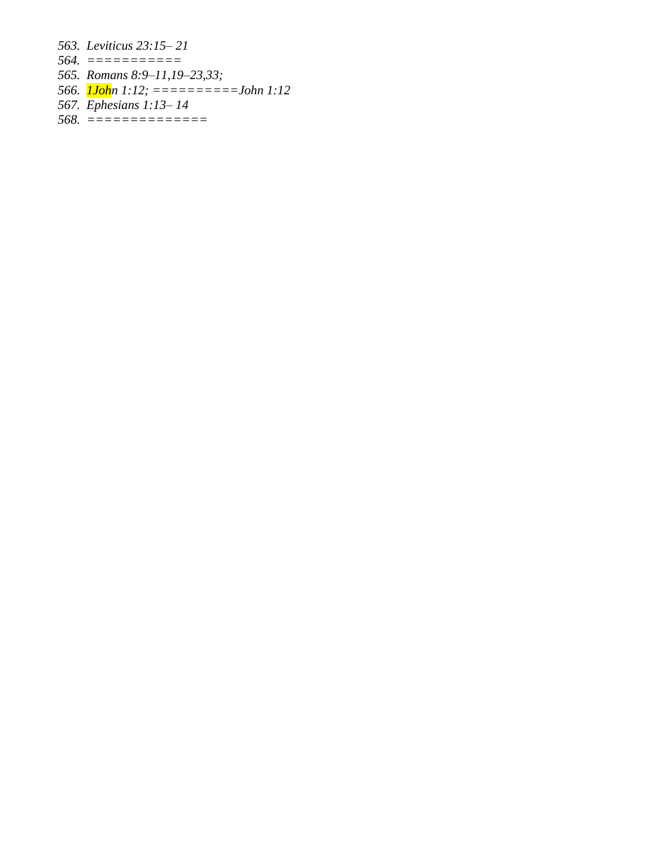*563. Leviticus 23:15– 21*

- *564. ===========*
- *565. Romans 8:9–11,19–23,33;*
- *566. 1John 1:12; ==========John 1:12*
- *567. Ephesians 1:13– 14*
- *568. ==============*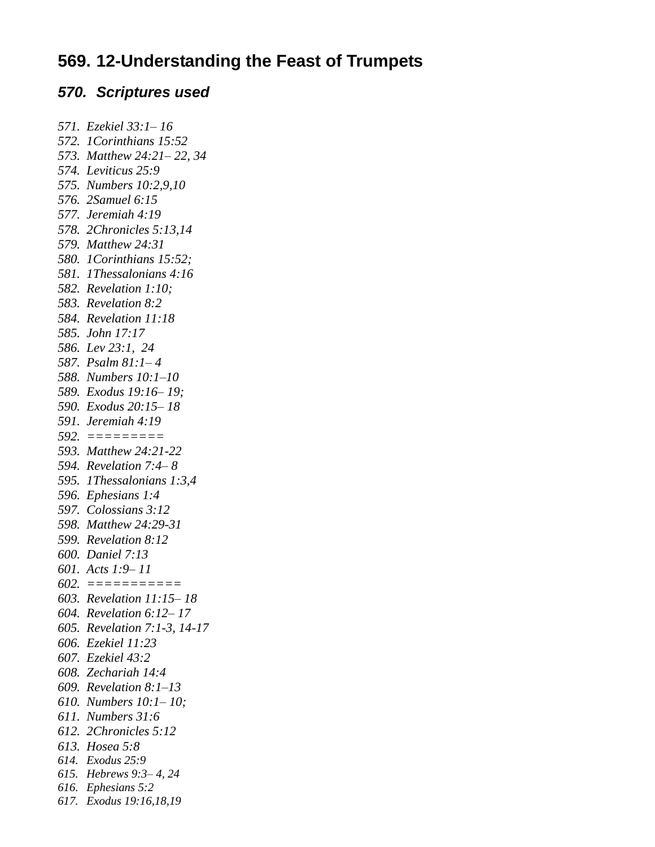## **569. 12-Understanding the Feast of Trumpets**

#### *570. Scriptures used*

```
571. Ezekiel 33:1– 16
572. 1Corinthians 15:52
573. Matthew 24:21– 22, 34
574. Leviticus 25:9
575. Numbers 10:2,9,10
576. 2Samuel 6:15
577. Jeremiah 4:19
578. 2Chronicles 5:13,14
579. Matthew 24:31
580. 1Corinthians 15:52; 
581. 1Thessalonians 4:16
582. Revelation 1:10; 
583. Revelation 8:2
584. Revelation 11:18
585. John 17:17
586. Lev 23:1, 24
587. Psalm 81:1– 4
588. Numbers 10:1–10
589. Exodus 19:16– 19; 
590. Exodus 20:15– 18
591. Jeremiah 4:19
592. =========
593. Matthew 24:21-22
594. Revelation 7:4– 8
595. 1Thessalonians 1:3,4
596. Ephesians 1:4
597. Colossians 3:12
598. Matthew 24:29-31
599. Revelation 8:12
600. Daniel 7:13
601. Acts 1:9– 11
602. ===========
603. Revelation 11:15– 18
604. Revelation 6:12– 17
605. Revelation 7:1-3, 14-17
606. Ezekiel 11:23
607. Ezekiel 43:2
608. Zechariah 14:4
609. Revelation 8:1–13
610. Numbers 10:1– 10; 
611. Numbers 31:6
612. 2Chronicles 5:12
613. Hosea 5:8
614. Exodus 25:9
615. Hebrews 9:3– 4, 24
616. Ephesians 5:2
617. Exodus 19:16,18,19
```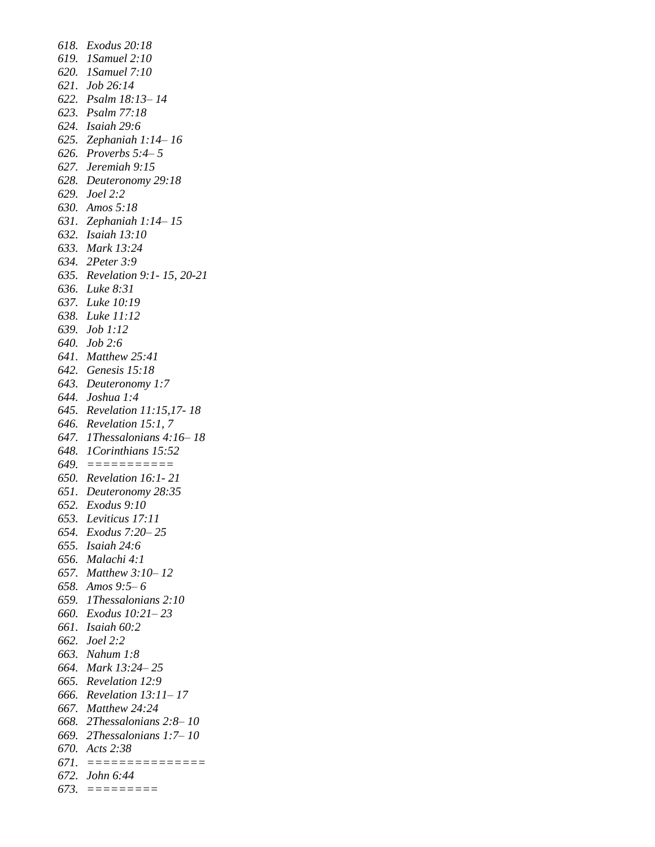*618. Exodus 20:18 619. 1Samuel 2:10 620. 1Samuel 7:10 621. Job 26:14 622. Psalm 18:13– 14 623. Psalm 77:18 624. Isaiah 29:6 625. Zephaniah 1:14– 16 626. Proverbs 5:4– 5 627. Jeremiah 9:15 628. Deuteronomy 29:18 629. Joel 2:2 630. Amos 5:18 631. Zephaniah 1:14– 15 632. Isaiah 13:10 633. Mark 13:24 634. 2Peter 3:9 635. Revelation 9:1- 15, 20-21 636. Luke 8:31 637. Luke 10:19 638. Luke 11:12 639. Job 1:12 640. Job 2:6 641. Matthew 25:41 642. Genesis 15:18 643. Deuteronomy 1:7 644. Joshua 1:4 645. Revelation 11:15,17- 18 646. Revelation 15:1, 7 647. 1Thessalonians 4:16– 18 648. 1Corinthians 15:52 649. =========== 650. Revelation 16:1- 21 651. Deuteronomy 28:35 652. Exodus 9:10 653. Leviticus 17:11 654. Exodus 7:20– 25 655. Isaiah 24:6 656. Malachi 4:1 657. Matthew 3:10– 12 658. Amos 9:5– 6 659. 1Thessalonians 2:10 660. Exodus 10:21– 23 661. Isaiah 60:2 662. Joel 2:2 663. Nahum 1:8 664. Mark 13:24– 25 665. Revelation 12:9 666. Revelation 13:11– 17 667. Matthew 24:24 668. 2Thessalonians 2:8– 10 669. 2Thessalonians 1:7– 10 670. Acts 2:38 671. =============== 672. John 6:44 673. =========*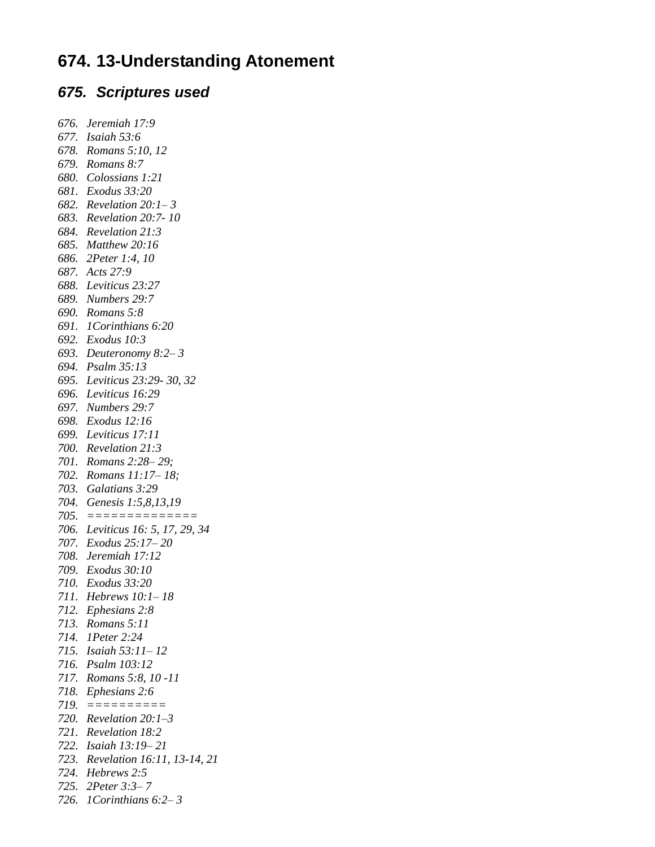## **674. 13-Understanding Atonement**

## *675. Scriptures used*

*676. Jeremiah 17:9 677. Isaiah 53:6 678. Romans 5:10, 12 679. Romans 8:7 680. Colossians 1:21 681. Exodus 33:20 682. Revelation 20:1– 3 683. Revelation 20:7- 10 684. Revelation 21:3 685. Matthew 20:16 686. 2Peter 1:4, 10 687. Acts 27:9 688. Leviticus 23:27 689. Numbers 29:7 690. Romans 5:8 691. 1Corinthians 6:20 692. Exodus 10:3 693. Deuteronomy 8:2– 3 694. Psalm 35:13 695. Leviticus 23:29- 30, 32 696. Leviticus 16:29 697. Numbers 29:7 698. Exodus 12:16 699. Leviticus 17:11 700. Revelation 21:3 701. Romans 2:28– 29; 702. Romans 11:17– 18; 703. Galatians 3:29 704. Genesis 1:5,8,13,19 705. ============== 706. Leviticus 16: 5, 17, 29, 34 707. Exodus 25:17– 20 708. Jeremiah 17:12 709. Exodus 30:10 710. Exodus 33:20 711. Hebrews 10:1– 18 712. Ephesians 2:8 713. Romans 5:11 714. 1Peter 2:24 715. Isaiah 53:11– 12 716. Psalm 103:12 717. Romans 5:8, 10 -11 718. Ephesians 2:6 719. ========== 720. Revelation 20:1–3 721. Revelation 18:2 722. Isaiah 13:19– 21 723. Revelation 16:11, 13-14, 21 724. Hebrews 2:5 725. 2Peter 3:3– 7 726. 1Corinthians 6:2– 3*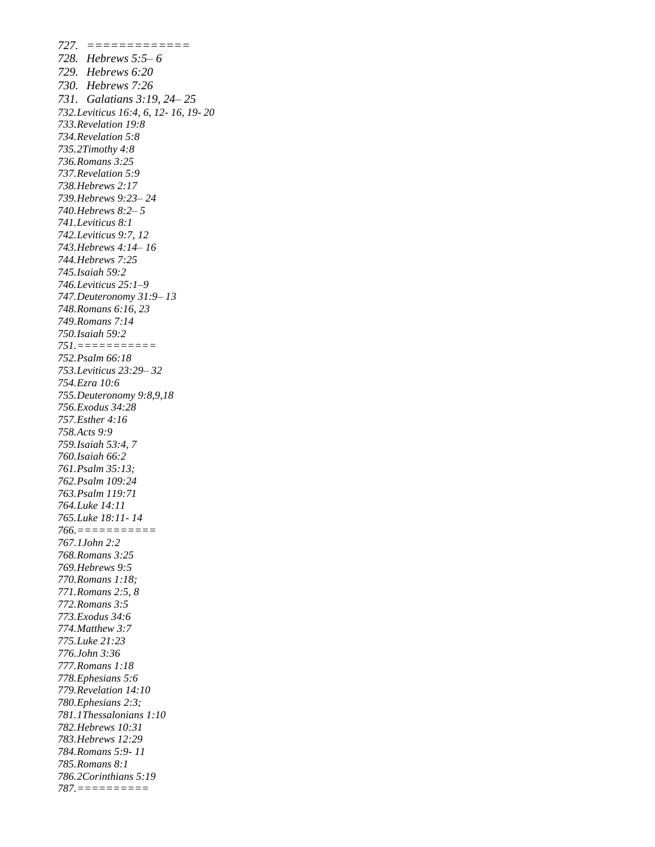*727. ============= 728. Hebrews 5:5– 6 729. Hebrews 6:20 730. Hebrews 7:26 731. Galatians 3:19, 24– 25 732.Leviticus 16:4, 6, 12- 16, 19- 20 733.Revelation 19:8 734.Revelation 5:8 735.2Timothy 4:8 736.Romans 3:25 737.Revelation 5:9 738.Hebrews 2:17 739.Hebrews 9:23– 24 740.Hebrews 8:2– 5 741.Leviticus 8:1 742.Leviticus 9:7, 12 743.Hebrews 4:14– 16 744.Hebrews 7:25 745.Isaiah 59:2 746.Leviticus 25:1–9 747.Deuteronomy 31:9– 13 748.Romans 6:16, 23 749.Romans 7:14 750.Isaiah 59:2 751.=========== 752.Psalm 66:18 753.Leviticus 23:29– 32 754.Ezra 10:6 755.Deuteronomy 9:8,9,18 756.Exodus 34:28 757.Esther 4:16 758.Acts 9:9 759.Isaiah 53:4, 7 760.Isaiah 66:2 761.Psalm 35:13; 762.Psalm 109:24 763.Psalm 119:71 764.Luke 14:11 765.Luke 18:11- 14 766.=========== 767.1John 2:2 768.Romans 3:25 769.Hebrews 9:5 770.Romans 1:18; 771.Romans 2:5, 8 772.Romans 3:5 773.Exodus 34:6 774.Matthew 3:7 775.Luke 21:23 776.John 3:36 777.Romans 1:18 778.Ephesians 5:6 779.Revelation 14:10 780.Ephesians 2:3; 781.1Thessalonians 1:10 782.Hebrews 10:31 783.Hebrews 12:29 784.Romans 5:9- 11 785.Romans 8:1 786.2Corinthians 5:19 787.==========*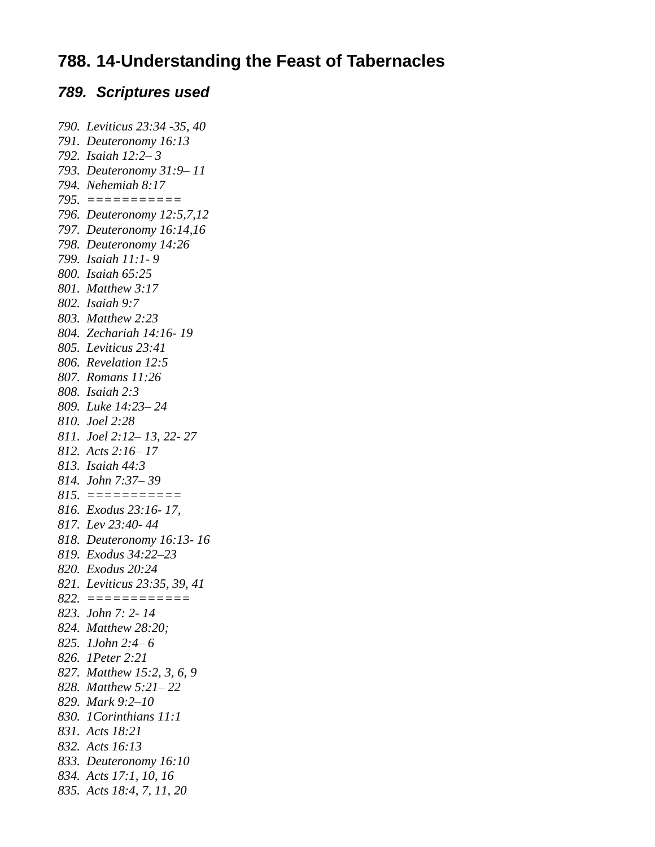## **788. 14-Understanding the Feast of Tabernacles**

#### *789. Scriptures used*

*790. Leviticus 23:34 -35, 40 791. Deuteronomy 16:13 792. Isaiah 12:2– 3 793. Deuteronomy 31:9– 11 794. Nehemiah 8:17 795. =========== 796. Deuteronomy 12:5,7,12 797. Deuteronomy 16:14,16 798. Deuteronomy 14:26 799. Isaiah 11:1- 9 800. Isaiah 65:25 801. Matthew 3:17 802. Isaiah 9:7 803. Matthew 2:23 804. Zechariah 14:16- 19 805. Leviticus 23:41 806. Revelation 12:5 807. Romans 11:26 808. Isaiah 2:3 809. Luke 14:23– 24 810. Joel 2:28 811. Joel 2:12– 13, 22- 27 812. Acts 2:16– 17 813. Isaiah 44:3 814. John 7:37– 39 815. =========== 816. Exodus 23:16- 17, 817. Lev 23:40- 44 818. Deuteronomy 16:13- 16 819. Exodus 34:22–23 820. Exodus 20:24 821. Leviticus 23:35, 39, 41 822. ============ 823. John 7: 2- 14 824. Matthew 28:20; 825. 1John 2:4– 6 826. 1Peter 2:21 827. Matthew 15:2, 3, 6, 9 828. Matthew 5:21– 22 829. Mark 9:2–10 830. 1Corinthians 11:1 831. Acts 18:21 832. Acts 16:13 833. Deuteronomy 16:10 834. Acts 17:1, 10, 16 835. Acts 18:4, 7, 11, 20*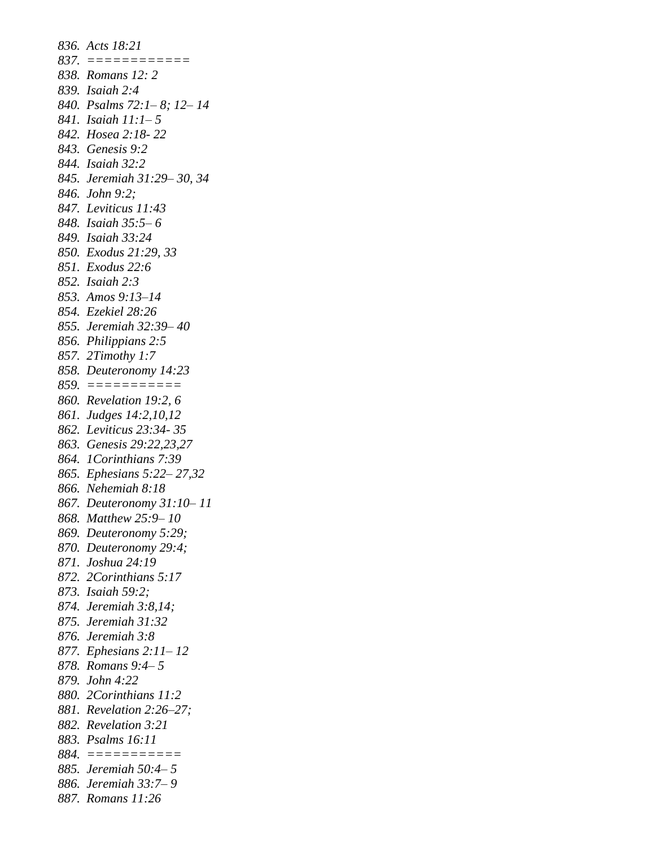*836. Acts 18:21 837. ============ 838. Romans 12: 2 839. Isaiah 2:4 840. Psalms 72:1– 8; 12– 14 841. Isaiah 11:1– 5 842. Hosea 2:18- 22 843. Genesis 9:2 844. Isaiah 32:2 845. Jeremiah 31:29– 30, 34 846. John 9:2; 847. Leviticus 11:43 848. Isaiah 35:5– 6 849. Isaiah 33:24 850. Exodus 21:29, 33 851. Exodus 22:6 852. Isaiah 2:3 853. Amos 9:13–14 854. Ezekiel 28:26 855. Jeremiah 32:39– 40 856. Philippians 2:5 857. 2Timothy 1:7 858. Deuteronomy 14:23 859. =========== 860. Revelation 19:2, 6 861. Judges 14:2,10,12 862. Leviticus 23:34- 35 863. Genesis 29:22,23,27 864. 1Corinthians 7:39 865. Ephesians 5:22– 27,32 866. Nehemiah 8:18 867. Deuteronomy 31:10– 11 868. Matthew 25:9– 10 869. Deuteronomy 5:29; 870. Deuteronomy 29:4; 871. Joshua 24:19 872. 2Corinthians 5:17 873. Isaiah 59:2; 874. Jeremiah 3:8,14; 875. Jeremiah 31:32 876. Jeremiah 3:8 877. Ephesians 2:11– 12 878. Romans 9:4– 5 879. John 4:22 880. 2Corinthians 11:2 881. Revelation 2:26–27; 882. Revelation 3:21 883. Psalms 16:11 884. =========== 885. Jeremiah 50:4– 5 886. Jeremiah 33:7– 9 887. Romans 11:26*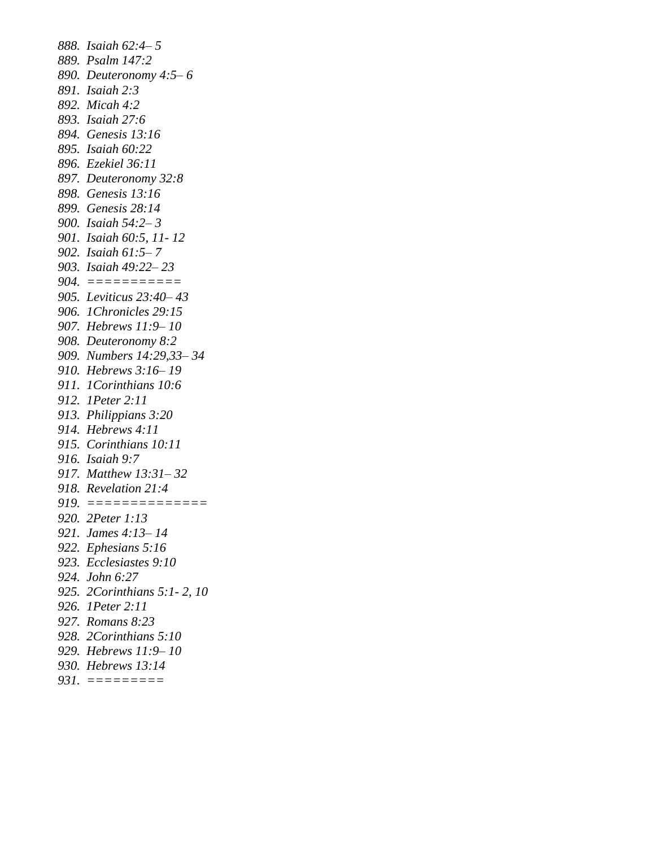*888. Isaiah 62:4– 5 889. Psalm 147:2 890. Deuteronomy 4:5– 6 891. Isaiah 2:3 892. Micah 4:2 893. Isaiah 27:6 894. Genesis 13:16 895. Isaiah 60:22 896. Ezekiel 36:11 897. Deuteronomy 32:8 898. Genesis 13:16 899. Genesis 28:14 900. Isaiah 54:2– 3 901. Isaiah 60:5, 11- 12 902. Isaiah 61:5– 7 903. Isaiah 49:22– 23 904. =========== 905. Leviticus 23:40– 43 906. 1Chronicles 29:15 907. Hebrews 11:9– 10 908. Deuteronomy 8:2 909. Numbers 14:29,33– 34 910. Hebrews 3:16– 19 911. 1Corinthians 10:6 912. 1Peter 2:11 913. Philippians 3:20 914. Hebrews 4:11 915. Corinthians 10:11 916. Isaiah 9:7 917. Matthew 13:31– 32 918. Revelation 21:4 919. ============== 920. 2Peter 1:13 921. James 4:13– 14 922. Ephesians 5:16 923. Ecclesiastes 9:10 924. John 6:27 925. 2Corinthians 5:1- 2, 10 926. 1Peter 2:11 927. Romans 8:23 928. 2Corinthians 5:10 929. Hebrews 11:9– 10 930. Hebrews 13:14 931. =========*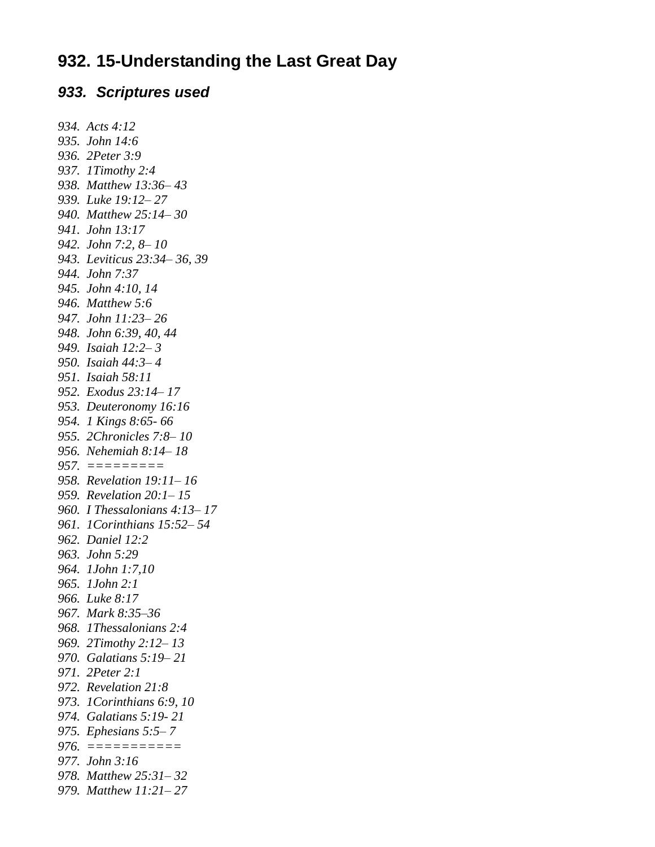## **932. 15-Understanding the Last Great Day**

#### *933. Scriptures used*

*934. Acts 4:12 935. John 14:6 936. 2Peter 3:9 937. 1Timothy 2:4 938. Matthew 13:36– 43 939. Luke 19:12– 27 940. Matthew 25:14– 30 941. John 13:17 942. John 7:2, 8– 10 943. Leviticus 23:34– 36, 39 944. John 7:37 945. John 4:10, 14 946. Matthew 5:6 947. John 11:23– 26 948. John 6:39, 40, 44 949. Isaiah 12:2– 3 950. Isaiah 44:3– 4 951. Isaiah 58:11 952. Exodus 23:14– 17 953. Deuteronomy 16:16 954. 1 Kings 8:65- 66 955. 2Chronicles 7:8– 10 956. Nehemiah 8:14– 18 957. ========= 958. Revelation 19:11– 16 959. Revelation 20:1– 15 960. I Thessalonians 4:13– 17 961. 1Corinthians 15:52– 54 962. Daniel 12:2 963. John 5:29 964. 1John 1:7,10 965. 1John 2:1 966. Luke 8:17 967. Mark 8:35–36 968. 1Thessalonians 2:4 969. 2Timothy 2:12– 13 970. Galatians 5:19– 21 971. 2Peter 2:1 972. Revelation 21:8 973. 1Corinthians 6:9, 10 974. Galatians 5:19- 21 975. Ephesians 5:5– 7 976. =========== 977. John 3:16 978. Matthew 25:31– 32 979. Matthew 11:21– 27*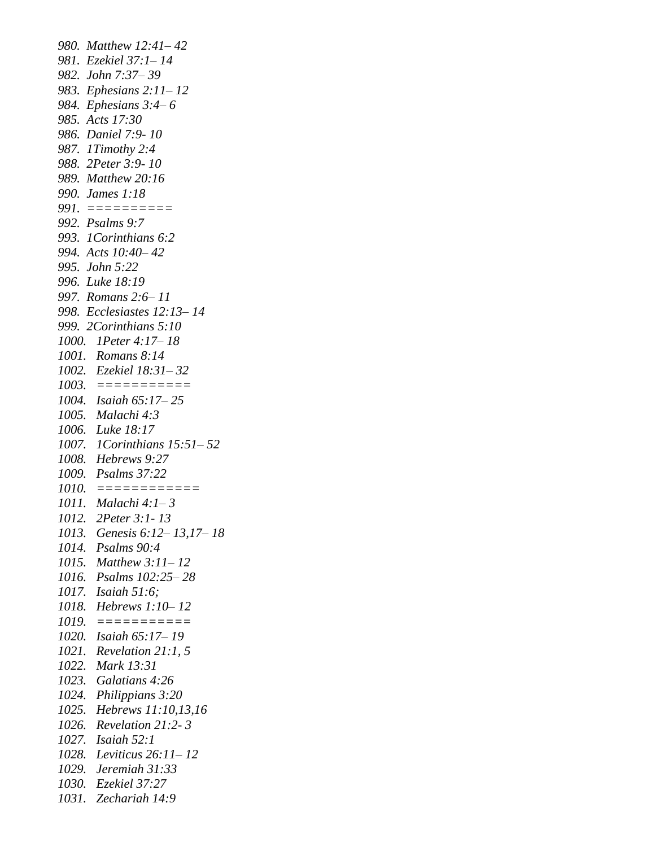*980. Matthew 12:41– 42 981. Ezekiel 37:1– 14 982. John 7:37– 39 983. Ephesians 2:11– 12 984. Ephesians 3:4– 6 985. Acts 17:30 986. Daniel 7:9- 10 987. 1Timothy 2:4 988. 2Peter 3:9- 10 989. Matthew 20:16 990. James 1:18 991. ========== 992. Psalms 9:7 993. 1Corinthians 6:2 994. Acts 10:40– 42 995. John 5:22 996. Luke 18:19 997. Romans 2:6– 11 998. Ecclesiastes 12:13– 14 999. 2Corinthians 5:10 1000. 1Peter 4:17– 18 1001. Romans 8:14 1002. Ezekiel 18:31– 32 1003. =========== 1004. Isaiah 65:17– 25 1005. Malachi 4:3 1006. Luke 18:17 1007. 1Corinthians 15:51– 52 1008. Hebrews 9:27 1009. Psalms 37:22 1010. ============ 1011. Malachi 4:1– 3 1012. 2Peter 3:1- 13 1013. Genesis 6:12– 13,17– 18 1014. Psalms 90:4 1015. Matthew 3:11– 12 1016. Psalms 102:25– 28 1017. Isaiah 51:6; 1018. Hebrews 1:10– 12 1019. =========== 1020. Isaiah 65:17– 19 1021. Revelation 21:1, 5 1022. Mark 13:31 1023. Galatians 4:26 1024. Philippians 3:20 1025. Hebrews 11:10,13,16 1026. Revelation 21:2- 3 1027. Isaiah 52:1 1028. Leviticus 26:11– 12 1029. Jeremiah 31:33 1030. Ezekiel 37:27 1031. Zechariah 14:9*